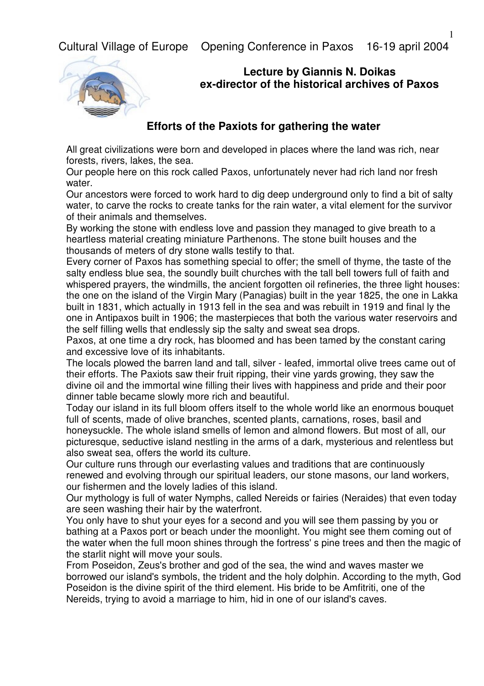Cultural Village of Europe Opening Conference in Paxos 16-19 april 2004



## **Lecture by Giannis N. Doikas ex-director of the historical archives of Paxos**

## **Efforts of the Paxiots for gathering the water**

All great civilizations were born and developed in places where the land was rich, near forests, rivers, lakes, the sea.

Our people here on this rock called Paxos, unfortunately never had rich land nor fresh water.

Our ancestors were forced to work hard to dig deep underground only to find a bit of salty water, to carve the rocks to create tanks for the rain water, a vital element for the survivor of their animals and themselves.

By working the stone with endless love and passion they managed to give breath to a heartless material creating miniature Parthenons. The stone built houses and the thousands of meters of dry stone walls testify to that.

Every corner of Paxos has something special to offer; the smell of thyme, the taste of the salty endless blue sea, the soundly built churches with the tall bell towers full of faith and whispered prayers, the windmills, the ancient forgotten oil refineries, the three light houses: the one on the island of the Virgin Mary (Panagias) built in the year 1825, the one in Lakka built in 1831, which actually in 1913 fell in the sea and was rebuilt in 1919 and final ly the one in Antipaxos built in 1906; the masterpieces that both the various water reservoirs and the self filling wells that endlessly sip the salty and sweat sea drops.

Paxos, at one time a dry rock, has bloomed and has been tamed by the constant caring and excessive love of its inhabitants.

The locals plowed the barren land and tall, silver - leafed, immortal olive trees came out of their efforts. The Paxiots saw their fruit ripping, their vine yards growing, they saw the divine oil and the immortal wine filling their lives with happiness and pride and their poor dinner table became slowly more rich and beautiful.

Today our island in its full bloom offers itself to the whole world like an enormous bouquet full of scents, made of olive branches, scented plants, carnations, roses, basil and honeysuckle. The whole island smells of lemon and almond flowers. But most of all, our picturesque, seductive island nestling in the arms of a dark, mysterious and relentless but also sweat sea, offers the world its culture.

Our culture runs through our everlasting values and traditions that are continuously renewed and evolving through our spiritual leaders, our stone masons, our land workers, our fishermen and the lovely ladies of this island.

Our mythology is full of water Nymphs, called Nereids or fairies (Neraides) that even today are seen washing their hair by the waterfront.

You only have to shut your eyes for a second and you will see them passing by you or bathing at a Paxos port or beach under the moonlight. You might see them coming out of the water when the full moon shines through the fortress' s pine trees and then the magic of the starlit night will move your souls.

From Poseidon, Zeus's brother and god of the sea, the wind and waves master we borrowed our island's symbols, the trident and the holy dolphin. According to the myth, God Poseidon is the divine spirit of the third element. His bride to be Amfitriti, one of the Nereids, trying to avoid a marriage to him, hid in one of our island's caves.